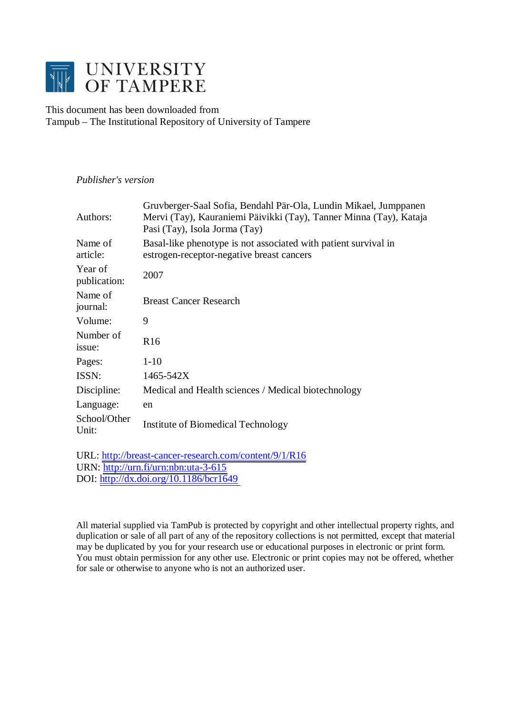

This document has been downloaded from Tampub – The Institutional Repository of University of Tampere

# *Publisher's version*

| Authors:                | Gruvberger-Saal Sofia, Bendahl Pär-Ola, Lundin Mikael, Jumppanen<br>Mervi (Tay), Kauraniemi Päivikki (Tay), Tanner Minna (Tay), Kataja<br>Pasi (Tay), Isola Jorma (Tay) |
|-------------------------|-------------------------------------------------------------------------------------------------------------------------------------------------------------------------|
| Name of<br>article:     | Basal-like phenotype is not associated with patient survival in<br>estrogen-receptor-negative breast cancers                                                            |
| Year of<br>publication: | 2007                                                                                                                                                                    |
| Name of<br>journal:     | <b>Breast Cancer Research</b>                                                                                                                                           |
| Volume:                 | 9                                                                                                                                                                       |
| Number of<br>issue:     | R <sub>16</sub>                                                                                                                                                         |
| Pages:                  | $1-10$                                                                                                                                                                  |
| ISSN:                   | 1465-542X                                                                                                                                                               |
| Discipline:             | Medical and Health sciences / Medical biotechnology                                                                                                                     |
| Language:               | en                                                                                                                                                                      |
| School/Other<br>Unit:   | Institute of Biomedical Technology                                                                                                                                      |
|                         |                                                                                                                                                                         |

URL: <http://breast-cancer-research.com/content/9/1/R16> URN: <http://urn.fi/urn:nbn:uta-3-615> DOI: <http://dx.doi.org/10.1186/bcr1649>

All material supplied via TamPub is protected by copyright and other intellectual property rights, and duplication or sale of all part of any of the repository collections is not permitted, except that material may be duplicated by you for your research use or educational purposes in electronic or print form. You must obtain permission for any other use. Electronic or print copies may not be offered, whether for sale or otherwise to anyone who is not an authorized user.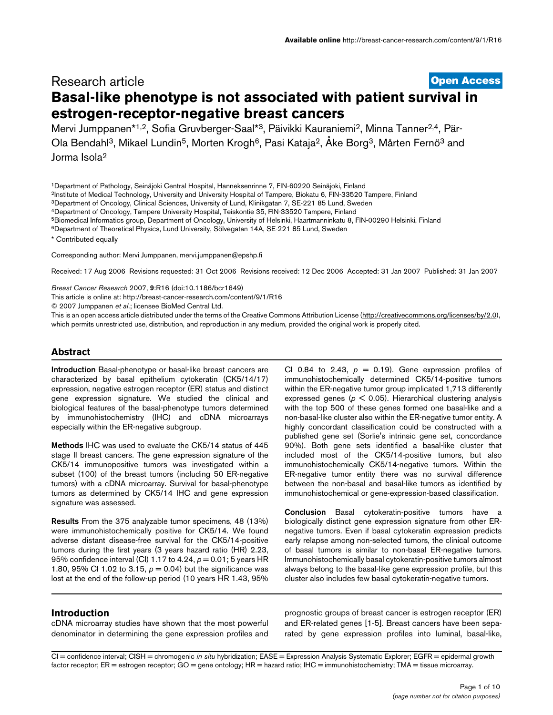# **[Open Access](http://www.biomedcentral.com/info/about/charter/)** Research article **Basal-like phenotype is not associated with patient survival in estrogen-receptor-negative breast cancers**

Mervi Jumppanen\*1,2, Sofia Gruvberger-Saal\*3, Päivikki Kauraniemi2, Minna Tanner2,4, Pär-Ola Bendahl<sup>3</sup>, Mikael Lundin<sup>5</sup>, Morten Krogh<sup>6</sup>, Pasi Kataja<sup>2</sup>, Åke Borg<sup>3</sup>, Mårten Fernö<sup>3</sup> and Jorma Isola2

1Department of Pathology, Seinäjoki Central Hospital, Hanneksenrinne 7, FIN-60220 Seinäjoki, Finland

2Institute of Medical Technology, University and University Hospital of Tampere, Biokatu 6, FIN-33520 Tampere, Finland

3Department of Oncology, Clinical Sciences, University of Lund, Klinikgatan 7, SE-221 85 Lund, Sweden

4Department of Oncology, Tampere University Hospital, Teiskontie 35, FIN-33520 Tampere, Finland

5Biomedical Informatics group, Department of Oncology, University of Helsinki, Haartmanninkatu 8, FIN-00290 Helsinki, Finland

6Department of Theoretical Physics, Lund University, Sölvegatan 14A, SE-221 85 Lund, Sweden

\* Contributed equally

Corresponding author: Mervi Jumppanen, mervi.jumppanen@epshp.fi

Received: 17 Aug 2006 Revisions requested: 31 Oct 2006 Revisions received: 12 Dec 2006 Accepted: 31 Jan 2007 Published: 31 Jan 2007

*Breast Cancer Research* 2007, **9**:R16 (doi:10.1186/bcr1649)

[This article is online at: http://breast-cancer-research.com/content/9/1/R16](http://breast-cancer-research.com/content/9/1/R16)

© 2007 Jumppanen *et al*.; licensee BioMed Central Ltd.

This is an open access article distributed under the terms of the Creative Commons Attribution License [\(http://creativecommons.org/licenses/by/2.0\)](http://creativecommons.org/licenses/by/2.0), which permits unrestricted use, distribution, and reproduction in any medium, provided the original work is properly cited.

### **Abstract**

**Introduction** Basal-phenotype or basal-like breast cancers are characterized by basal epithelium cytokeratin (CK5/14/17) expression, negative estrogen receptor (ER) status and distinct gene expression signature. We studied the clinical and biological features of the basal-phenotype tumors determined by immunohistochemistry (IHC) and cDNA microarrays especially within the ER-negative subgroup.

**Methods** IHC was used to evaluate the CK5/14 status of 445 stage II breast cancers. The gene expression signature of the CK5/14 immunopositive tumors was investigated within a subset (100) of the breast tumors (including 50 ER-negative tumors) with a cDNA microarray. Survival for basal-phenotype tumors as determined by CK5/14 IHC and gene expression signature was assessed.

**Results** From the 375 analyzable tumor specimens, 48 (13%) were immunohistochemically positive for CK5/14. We found adverse distant disease-free survival for the CK5/14-positive tumors during the first years (3 years hazard ratio (HR) 2.23, 95% confidence interval (CI) 1.17 to 4.24,  $p = 0.01$ ; 5 years HR 1.80, 95% CI 1.02 to 3.15,  $p = 0.04$ ) but the significance was lost at the end of the follow-up period (10 years HR 1.43, 95%

CI 0.84 to 2.43,  $p = 0.19$ ). Gene expression profiles of immunohistochemically determined CK5/14-positive tumors within the ER-negative tumor group implicated 1,713 differently expressed genes ( $p < 0.05$ ). Hierarchical clustering analysis with the top 500 of these genes formed one basal-like and a non-basal-like cluster also within the ER-negative tumor entity. A highly concordant classification could be constructed with a published gene set (Sorlie's intrinsic gene set, concordance 90%). Both gene sets identified a basal-like cluster that included most of the CK5/14-positive tumors, but also immunohistochemically CK5/14-negative tumors. Within the ER-negative tumor entity there was no survival difference between the non-basal and basal-like tumors as identified by immunohistochemical or gene-expression-based classification.

**Conclusion** Basal cytokeratin-positive tumors have a biologically distinct gene expression signature from other ERnegative tumors. Even if basal cytokeratin expression predicts early relapse among non-selected tumors, the clinical outcome of basal tumors is similar to non-basal ER-negative tumors. Immunohistochemically basal cytokeratin-positive tumors almost always belong to the basal-like gene expression profile, but this cluster also includes few basal cytokeratin-negative tumors.

### **Introduction**

cDNA microarray studies have shown that the most powerful denominator in determining the gene expression profiles and prognostic groups of breast cancer is estrogen receptor (ER) and ER-related genes [1-5]. Breast cancers have been separated by gene expression profiles into luminal, basal-like,

CI = confidence interval; CISH = chromogenic *in situ* hybridization; EASE = Expression Analysis Systematic Explorer; EGFR = epidermal growth factor receptor; ER = estrogen receptor; GO = gene ontology; HR = hazard ratio; IHC = immunohistochemistry; TMA = tissue microarray.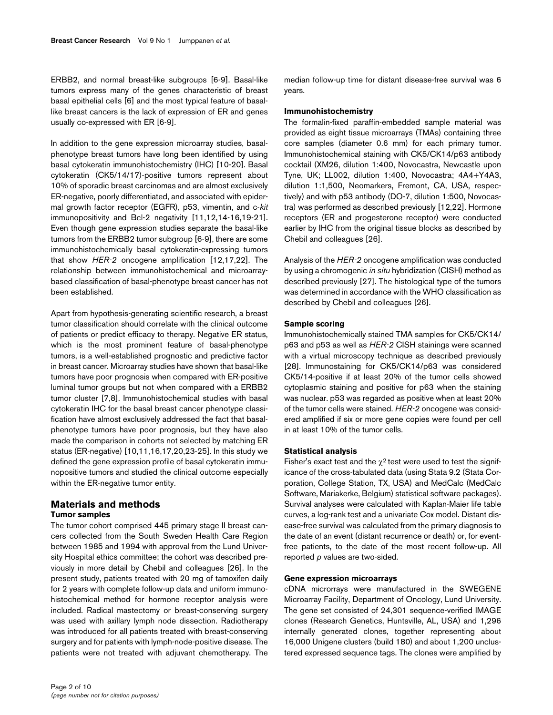ERBB2, and normal breast-like subgroups [6-9]. Basal-like tumors express many of the genes characteristic of breast basal epithelial cells [6] and the most typical feature of basallike breast cancers is the lack of expression of ER and genes usually co-expressed with ER [6-9].

In addition to the gene expression microarray studies, basalphenotype breast tumors have long been identified by using basal cytokeratin immunohistochemistry (IHC) [10-20]. Basal cytokeratin (CK5/14/17)-positive tumors represent about 10% of sporadic breast carcinomas and are almost exclusively ER-negative, poorly differentiated, and associated with epidermal growth factor receptor (EGFR), p53, vimentin, and c-*kit* immunopositivity and Bcl-2 negativity [11,12,14-16,19-21]. Even though gene expression studies separate the basal-like tumors from the ERBB2 tumor subgroup [6-9], there are some immunohistochemically basal cytokeratin-expressing tumors that show *HER-2* oncogene amplification [12,17,22]. The relationship between immunohistochemical and microarraybased classification of basal-phenotype breast cancer has not been established.

Apart from hypothesis-generating scientific research, a breast tumor classification should correlate with the clinical outcome of patients or predict efficacy to therapy. Negative ER status, which is the most prominent feature of basal-phenotype tumors, is a well-established prognostic and predictive factor in breast cancer. Microarray studies have shown that basal-like tumors have poor prognosis when compared with ER-positive luminal tumor groups but not when compared with a ERBB2 tumor cluster [7,8]. Immunohistochemical studies with basal cytokeratin IHC for the basal breast cancer phenotype classification have almost exclusively addressed the fact that basalphenotype tumors have poor prognosis, but they have also made the comparison in cohorts not selected by matching ER status (ER-negative) [10,11,16,17,20,23-25]. In this study we defined the gene expression profile of basal cytokeratin immunopositive tumors and studied the clinical outcome especially within the ER-negative tumor entity.

### **Materials and methods Tumor samples**

The tumor cohort comprised 445 primary stage II breast cancers collected from the South Sweden Health Care Region between 1985 and 1994 with approval from the Lund University Hospital ethics committee; the cohort was described previously in more detail by Chebil and colleagues [26]. In the present study, patients treated with 20 mg of tamoxifen daily for 2 years with complete follow-up data and uniform immunohistochemical method for hormone receptor analysis were included. Radical mastectomy or breast-conserving surgery was used with axillary lymph node dissection. Radiotherapy was introduced for all patients treated with breast-conserving surgery and for patients with lymph-node-positive disease. The patients were not treated with adjuvant chemotherapy. The

#### **Immunohistochemistry**

The formalin-fixed paraffin-embedded sample material was provided as eight tissue microarrays (TMAs) containing three core samples (diameter 0.6 mm) for each primary tumor. Immunohistochemical staining with CK5/CK14/p63 antibody cocktail (XM26, dilution 1:400, Novocastra, Newcastle upon Tyne, UK; LL002, dilution 1:400, Novocastra; 4A4+Y4A3, dilution 1:1,500, Neomarkers, Fremont, CA, USA, respectively) and with p53 antibody (DO-7, dilution 1:500, Novocastra) was performed as described previously [12,22]. Hormone receptors (ER and progesterone receptor) were conducted earlier by IHC from the original tissue blocks as described by Chebil and colleagues [26].

Analysis of the *HER-2* oncogene amplification was conducted by using a chromogenic *in situ* hybridization (CISH) method as described previously [27]. The histological type of the tumors was determined in accordance with the WHO classification as described by Chebil and colleagues [26].

#### **Sample scoring**

Immunohistochemically stained TMA samples for CK5/CK14/ p63 and p53 as well as *HER-2* CISH stainings were scanned with a virtual microscopy technique as described previously [28]. Immunostaining for CK5/CK14/p63 was considered CK5/14-positive if at least 20% of the tumor cells showed cytoplasmic staining and positive for p63 when the staining was nuclear. p53 was regarded as positive when at least 20% of the tumor cells were stained. *HER-2* oncogene was considered amplified if six or more gene copies were found per cell in at least 10% of the tumor cells.

#### **Statistical analysis**

Fisher's exact test and the  $\chi^2$  test were used to test the significance of the cross-tabulated data (using Stata 9.2 (Stata Corporation, College Station, TX, USA) and MedCalc (MedCalc Software, Mariakerke, Belgium) statistical software packages). Survival analyses were calculated with Kaplan-Maier life table curves, a log-rank test and a univariate Cox model. Distant disease-free survival was calculated from the primary diagnosis to the date of an event (distant recurrence or death) or, for eventfree patients, to the date of the most recent follow-up. All reported *p* values are two-sided.

#### **Gene expression microarrays**

cDNA microrrays were manufactured in the SWEGENE Microarray Facility, Department of Oncology, Lund University. The gene set consisted of 24,301 sequence-verified IMAGE clones (Research Genetics, Huntsville, AL, USA) and 1,296 internally generated clones, together representing about 16,000 Unigene clusters (build 180) and about 1,200 unclustered expressed sequence tags. The clones were amplified by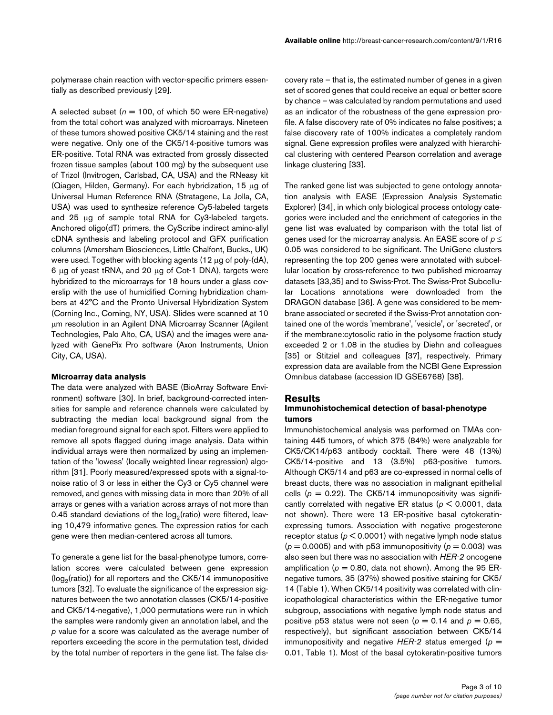polymerase chain reaction with vector-specific primers essentially as described previously [29].

A selected subset ( $n = 100$ , of which 50 were ER-negative) from the total cohort was analyzed with microarrays. Nineteen of these tumors showed positive CK5/14 staining and the rest were negative. Only one of the CK5/14-positive tumors was ER-positive. Total RNA was extracted from grossly dissected frozen tissue samples (about 100 mg) by the subsequent use of Trizol (Invitrogen, Carlsbad, CA, USA) and the RNeasy kit (Qiagen, Hilden, Germany). For each hybridization, 15 μg of Universal Human Reference RNA (Stratagene, La Jolla, CA, USA) was used to synthesize reference Cy5-labeled targets and 25 μg of sample total RNA for Cy3-labeled targets. Anchored oligo(dT) primers, the CyScribe indirect amino-allyl cDNA synthesis and labeling protocol and GFX purification columns (Amersham Biosciences, Little Chalfont, Bucks., UK) were used. Together with blocking agents (12 μg of poly-(dA), 6 μg of yeast tRNA, and 20 μg of Cot-1 DNA), targets were hybridized to the microarrays for 18 hours under a glass coverslip with the use of humidified Corning hybridization chambers at 42°C and the Pronto Universal Hybridization System (Corning Inc., Corning, NY, USA). Slides were scanned at 10 μm resolution in an Agilent DNA Microarray Scanner (Agilent Technologies, Palo Alto, CA, USA) and the images were analyzed with GenePix Pro software (Axon Instruments, Union City, CA, USA).

#### **Microarray data analysis**

The data were analyzed with BASE (BioArray Software Environment) software [30]. In brief, background-corrected intensities for sample and reference channels were calculated by subtracting the median local background signal from the median foreground signal for each spot. Filters were applied to remove all spots flagged during image analysis. Data within individual arrays were then normalized by using an implementation of the 'lowess' (locally weighted linear regression) algorithm [31]. Poorly measured/expressed spots with a signal-tonoise ratio of 3 or less in either the Cy3 or Cy5 channel were removed, and genes with missing data in more than 20% of all arrays or genes with a variation across arrays of not more than 0.45 standard deviations of the  $log<sub>2</sub>(ratio)$  were filtered, leaving 10,479 informative genes. The expression ratios for each gene were then median-centered across all tumors.

To generate a gene list for the basal-phenotype tumors, correlation scores were calculated between gene expression  $(log<sub>2</sub>(ratio))$  for all reporters and the CK5/14 immunopositive tumors [32]. To evaluate the significance of the expression signatures between the two annotation classes (CK5/14-positive and CK5/14-negative), 1,000 permutations were run in which the samples were randomly given an annotation label, and the *p* value for a score was calculated as the average number of reporters exceeding the score in the permutation test, divided by the total number of reporters in the gene list. The false dis-

covery rate – that is, the estimated number of genes in a given set of scored genes that could receive an equal or better score by chance – was calculated by random permutations and used as an indicator of the robustness of the gene expression profile. A false discovery rate of 0% indicates no false positives; a false discovery rate of 100% indicates a completely random signal. Gene expression profiles were analyzed with hierarchical clustering with centered Pearson correlation and average linkage clustering [33].

The ranked gene list was subjected to gene ontology annotation analysis with EASE (Expression Analysis Systematic Explorer) [34], in which only biological process ontology categories were included and the enrichment of categories in the gene list was evaluated by comparison with the total list of genes used for the microarray analysis. An EASE score of *p* ≤ 0.05 was considered to be significant. The UniGene clusters representing the top 200 genes were annotated with subcellular location by cross-reference to two published microarray datasets [33,35] and to Swiss-Prot. The Swiss-Prot Subcellular Locations annotations were downloaded from the DRAGON database [36]. A gene was considered to be membrane associated or secreted if the Swiss-Prot annotation contained one of the words 'membrane', 'vesicle', or 'secreted', or if the membrane:cytosolic ratio in the polysome fraction study exceeded 2 or 1.08 in the studies by Diehn and colleagues [35] or Stitziel and colleagues [37], respectively. Primary expression data are available from the NCBI Gene Expression Omnibus database (accession ID GSE6768) [38].

### **Results**

### **Immunohistochemical detection of basal-phenotype tumors**

Immunohistochemical analysis was performed on TMAs containing 445 tumors, of which 375 (84%) were analyzable for CK5/CK14/p63 antibody cocktail. There were 48 (13%) CK5/14-positive and 13 (3.5%) p63-positive tumors. Although CK5/14 and p63 are co-expressed in normal cells of breast ducts, there was no association in malignant epithelial cells  $(p = 0.22)$ . The CK5/14 immunopositivity was significantly correlated with negative ER status (*p* < 0.0001, data not shown). There were 13 ER-positive basal cytokeratinexpressing tumors. Association with negative progesterone receptor status ( $p < 0.0001$ ) with negative lymph node status  $(p = 0.0005)$  and with p53 immunopositivity  $(p = 0.003)$  was also seen but there was no association with *HER-2* oncogene amplification ( $p = 0.80$ , data not shown). Among the 95 ERnegative tumors, 35 (37%) showed positive staining for CK5/ 14 (Table 1). When CK5/14 positivity was correlated with clinicopathological characteristics within the ER-negative tumor subgroup, associations with negative lymph node status and positive p53 status were not seen ( $p = 0.14$  and  $p = 0.65$ , respectively), but significant association between CK5/14 immunopositivity and negative *HER-2* status emerged (*p* = 0.01, Table 1). Most of the basal cytokeratin-positive tumors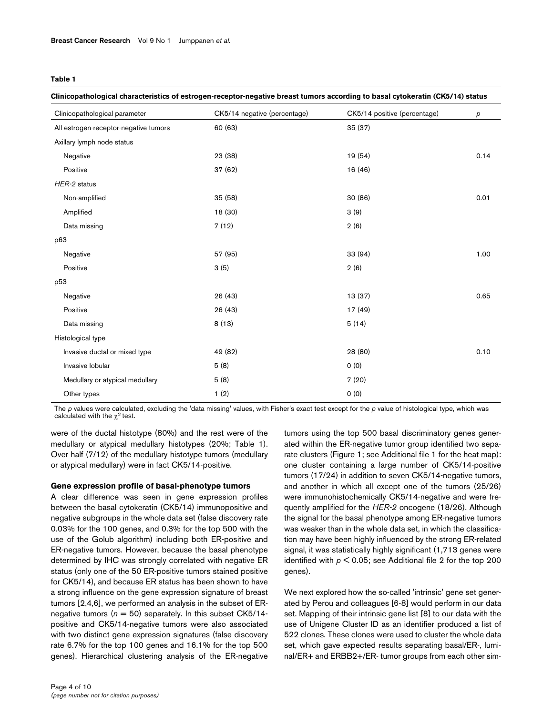### **Table 1**

#### **Clinicopathological characteristics of estrogen-receptor-negative breast tumors according to basal cytokeratin (CK5/14) status**

| Clinicopathological parameter         | CK5/14 negative (percentage) | CK5/14 positive (percentage) | р    |
|---------------------------------------|------------------------------|------------------------------|------|
| All estrogen-receptor-negative tumors | 60 (63)                      | 35 (37)                      |      |
| Axillary lymph node status            |                              |                              |      |
| Negative                              | 23 (38)                      | 19 (54)                      | 0.14 |
| Positive                              | 37 (62)                      | 16 (46)                      |      |
| HER-2 status                          |                              |                              |      |
| Non-amplified                         | 35 (58)                      | 30 (86)                      | 0.01 |
| Amplified                             | 18 (30)                      | 3(9)                         |      |
| Data missing                          | 7(12)                        | 2(6)                         |      |
| p63                                   |                              |                              |      |
| Negative                              | 57 (95)                      | 33 (94)                      | 1.00 |
| Positive                              | 3(5)                         | 2(6)                         |      |
| p <sub>53</sub>                       |                              |                              |      |
| Negative                              | 26 (43)                      | 13 (37)                      | 0.65 |
| Positive                              | 26 (43)                      | 17 (49)                      |      |
| Data missing                          | 8(13)                        | 5(14)                        |      |
| Histological type                     |                              |                              |      |
| Invasive ductal or mixed type         | 49 (82)                      | 28 (80)                      | 0.10 |
| Invasive lobular                      | 5(8)                         | 0(0)                         |      |
| Medullary or atypical medullary       | 5(8)                         | 7(20)                        |      |
| Other types                           | 1(2)                         | 0(0)                         |      |

The *p* values were calculated, excluding the 'data missing' values, with Fisher's exact test except for the *p* value of histological type, which was calculated with the  $\chi^2$  test.

were of the ductal histotype (80%) and the rest were of the medullary or atypical medullary histotypes (20%; Table 1). Over half (7/12) of the medullary histotype tumors (medullary or atypical medullary) were in fact CK5/14-positive.

#### **Gene expression profile of basal-phenotype tumors**

A clear difference was seen in gene expression profiles between the basal cytokeratin (CK5/14) immunopositive and negative subgroups in the whole data set (false discovery rate 0.03% for the 100 genes, and 0.3% for the top 500 with the use of the Golub algorithm) including both ER-positive and ER-negative tumors. However, because the basal phenotype determined by IHC was strongly correlated with negative ER status (only one of the 50 ER-positive tumors stained positive for CK5/14), and because ER status has been shown to have a strong influence on the gene expression signature of breast tumors [2,4,6], we performed an analysis in the subset of ERnegative tumors ( $n = 50$ ) separately. In this subset CK5/14positive and CK5/14-negative tumors were also associated with two distinct gene expression signatures (false discovery rate 6.7% for the top 100 genes and 16.1% for the top 500 genes). Hierarchical clustering analysis of the ER-negative

tumors using the top 500 basal discriminatory genes generated within the ER-negative tumor group identified two separate clusters (Figure 1; see Additional file 1 for the heat map): one cluster containing a large number of CK5/14-positive tumors (17/24) in addition to seven CK5/14-negative tumors, and another in which all except one of the tumors (25/26) were immunohistochemically CK5/14-negative and were frequently amplified for the *HER-2* oncogene (18/26). Although the signal for the basal phenotype among ER-negative tumors was weaker than in the whole data set, in which the classification may have been highly influenced by the strong ER-related signal, it was statistically highly significant (1,713 genes were identified with  $p < 0.05$ ; see Additional file 2 for the top 200 genes).

We next explored how the so-called 'intrinsic' gene set generated by Perou and colleagues [6-8] would perform in our data set. Mapping of their intrinsic gene list [8] to our data with the use of Unigene Cluster ID as an identifier produced a list of 522 clones. These clones were used to cluster the whole data set, which gave expected results separating basal/ER-, luminal/ER+ and ERBB2+/ER- tumor groups from each other sim-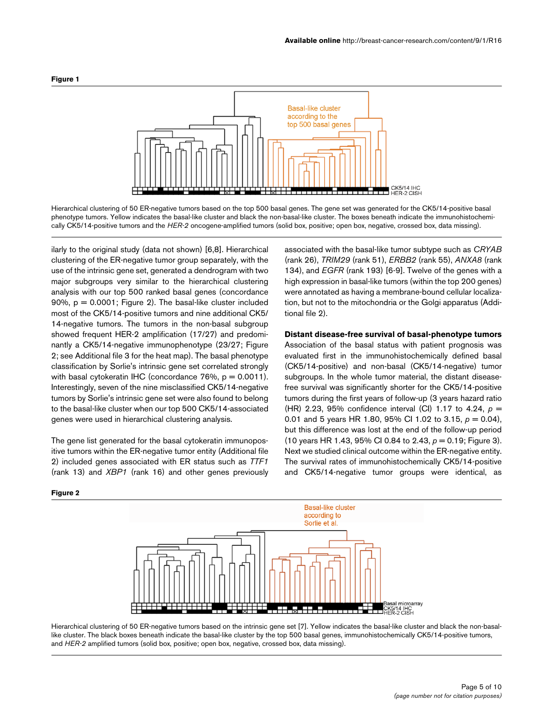



Hierarchical clustering of 50 ER-negative tumors based on the top 500 basal genes. The gene set was generated for the CK5/14-positive basal phenotype tumors. Yellow indicates the basal-like cluster and black the non-basal-like cluster. The boxes beneath indicate the immunohistochemically CK5/14-positive tumors and the *HER-2* oncogene-amplified tumors (solid box, positive; open box, negative, crossed box, data missing).

ilarly to the original study (data not shown) [6,8]. Hierarchical clustering of the ER-negative tumor group separately, with the use of the intrinsic gene set, generated a dendrogram with two major subgroups very similar to the hierarchical clustering analysis with our top 500 ranked basal genes (concordance 90%,  $p = 0.0001$ ; Figure 2). The basal-like cluster included most of the CK5/14-positive tumors and nine additional CK5/ 14-negative tumors. The tumors in the non-basal subgroup showed frequent HER-2 amplification (17/27) and predominantly a CK5/14-negative immunophenotype (23/27; Figure 2; see Additional file 3 for the heat map). The basal phenotype classification by Sorlie's intrinsic gene set correlated strongly with basal cytokeratin IHC (concordance  $76\%$ ,  $p = 0.0011$ ). Interestingly, seven of the nine misclassified CK5/14-negative tumors by Sorlie's intrinsic gene set were also found to belong to the basal-like cluster when our top 500 CK5/14-associated genes were used in hierarchical clustering analysis.

The gene list generated for the basal cytokeratin immunopositive tumors within the ER-negative tumor entity (Additional file 2) included genes associated with ER status such as *TTF1* (rank 13) and *XBP1* (rank 16) and other genes previously

associated with the basal-like tumor subtype such as *CRYAB* (rank 26), *TRIM29* (rank 51), *ERBB2* (rank 55), *ANXA8* (rank 134), and *EGFR* (rank 193) [6-9]. Twelve of the genes with a high expression in basal-like tumors (within the top 200 genes) were annotated as having a membrane-bound cellular localization, but not to the mitochondria or the Golgi apparatus (Additional file 2).

### **Distant disease-free survival of basal-phenotype tumors**

Association of the basal status with patient prognosis was evaluated first in the immunohistochemically defined basal (CK5/14-positive) and non-basal (CK5/14-negative) tumor subgroups. In the whole tumor material, the distant diseasefree survival was significantly shorter for the CK5/14-positive tumors during the first years of follow-up (3 years hazard ratio (HR) 2.23, 95% confidence interval (CI) 1.17 to 4.24,  $p =$ 0.01 and 5 years HR 1.80, 95% CI 1.02 to 3.15,  $p = 0.04$ ), but this difference was lost at the end of the follow-up period (10 years HR 1.43, 95% CI 0.84 to 2.43, *p* = 0.19; Figure 3). Next we studied clinical outcome within the ER-negative entity. The survival rates of immunohistochemically CK5/14-positive and CK5/14-negative tumor groups were identical, as





Hierarchical clustering of 50 ER-negative tumors based on the intrinsic gene set [7]. Yellow indicates the basal-like cluster and black the non-basallike cluster. The black boxes beneath indicate the basal-like cluster by the top 500 basal genes, immunohistochemically CK5/14-positive tumors, and *HER-2* amplified tumors (solid box, positive; open box, negative, crossed box, data missing).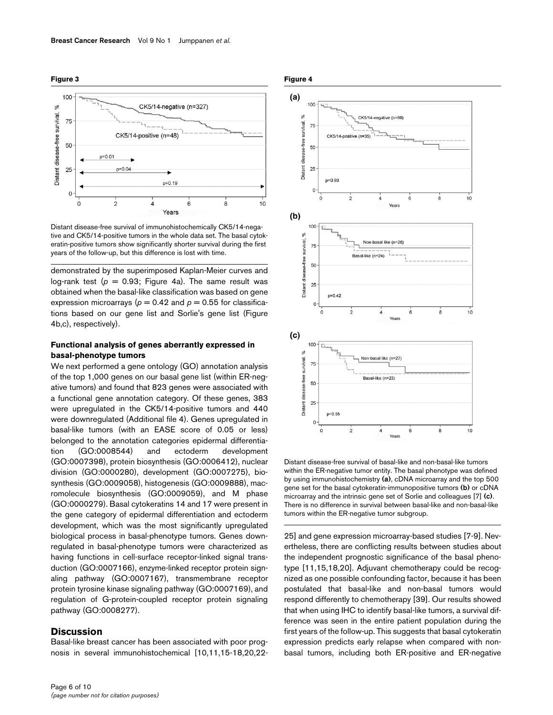

Distant disease-free survival of immunohistochemically CK5/14-negative and CK5/14-positive tumors in the whole data set. The basal cytokeratin-positive tumors show significantly shorter survival during the first years of the follow-up, but this difference is lost with time.

demonstrated by the superimposed Kaplan-Meier curves and log-rank test ( $p = 0.93$ ; Figure 4a). The same result was obtained when the basal-like classification was based on gene expression microarrays ( $p = 0.42$  and  $p = 0.55$  for classifications based on our gene list and Sorlie's gene list (Figure 4b,c), respectively).

### **Functional analysis of genes aberrantly expressed in basal-phenotype tumors**

We next performed a gene ontology (GO) annotation analysis of the top 1,000 genes on our basal gene list (within ER-negative tumors) and found that 823 genes were associated with a functional gene annotation category. Of these genes, 383 were upregulated in the CK5/14-positive tumors and 440 were downregulated (Additional file 4). Genes upregulated in basal-like tumors (with an EASE score of 0.05 or less) belonged to the annotation categories epidermal differentiation (GO:0008544) and ectoderm development (GO:0007398), protein biosynthesis (GO:0006412), nuclear division (GO:0000280), development (GO:0007275), biosynthesis (GO:0009058), histogenesis (GO:0009888), macromolecule biosynthesis (GO:0009059), and M phase (GO:0000279). Basal cytokeratins 14 and 17 were present in the gene category of epidermal differentiation and ectoderm development, which was the most significantly upregulated biological process in basal-phenotype tumors. Genes downregulated in basal-phenotype tumors were characterized as having functions in cell-surface receptor-linked signal transduction (GO:0007166), enzyme-linked receptor protein signaling pathway (GO:0007167), transmembrane receptor protein tyrosine kinase signaling pathway (GO:0007169), and regulation of G-protein-coupled receptor protein signaling pathway (GO:0008277).

### **Discussion**

Basal-like breast cancer has been associated with poor prognosis in several immunohistochemical [10,11,15-18,20,22-

#### **Figure 4**



Distant disease-free survival of basal-like and non-basal-like tumors within the ER-negative tumor entity. The basal phenotype was defined by using immunohistochemistry **(a)**, cDNA microarray and the top 500 gene set for the basal cytokeratin-immunopositive tumors **(b)** or cDNA microarray and the intrinsic gene set of Sorlie and colleagues [7] **(c)**. There is no difference in survival between basal-like and non-basal-like tumors within the ER-negative tumor subgroup.

25] and gene expression microarray-based studies [7-9]. Nevertheless, there are conflicting results between studies about the independent prognostic significance of the basal phenotype [11,15,18,20]. Adjuvant chemotherapy could be recognized as one possible confounding factor, because it has been postulated that basal-like and non-basal tumors would respond differently to chemotherapy [39]. Our results showed that when using IHC to identify basal-like tumors, a survival difference was seen in the entire patient population during the first years of the follow-up. This suggests that basal cytokeratin expression predicts early relapse when compared with nonbasal tumors, including both ER-positive and ER-negative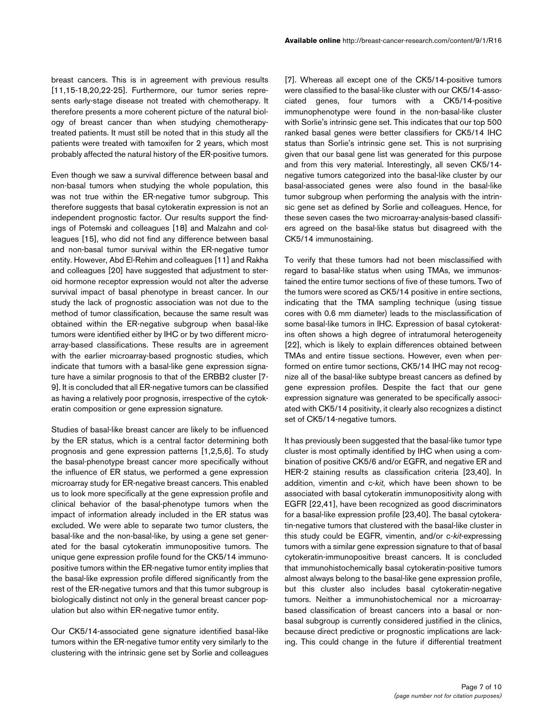breast cancers. This is in agreement with previous results [11,15-18,20,22-25]. Furthermore, our tumor series represents early-stage disease not treated with chemotherapy. It therefore presents a more coherent picture of the natural biology of breast cancer than when studying chemotherapytreated patients. It must still be noted that in this study all the patients were treated with tamoxifen for 2 years, which most probably affected the natural history of the ER-positive tumors.

Even though we saw a survival difference between basal and non-basal tumors when studying the whole population, this was not true within the ER-negative tumor subgroup. This therefore suggests that basal cytokeratin expression is not an independent prognostic factor. Our results support the findings of Potemski and colleagues [18] and Malzahn and colleagues [15], who did not find any difference between basal and non-basal tumor survival within the ER-negative tumor entity. However, Abd El-Rehim and colleagues [11] and Rakha and colleagues [20] have suggested that adjustment to steroid hormone receptor expression would not alter the adverse survival impact of basal phenotype in breast cancer. In our study the lack of prognostic association was not due to the method of tumor classification, because the same result was obtained within the ER-negative subgroup when basal-like tumors were identified either by IHC or by two different microarray-based classifications. These results are in agreement with the earlier microarray-based prognostic studies, which indicate that tumors with a basal-like gene expression signature have a similar prognosis to that of the ERBB2 cluster [7- 9]. It is concluded that all ER-negative tumors can be classified as having a relatively poor prognosis, irrespective of the cytokeratin composition or gene expression signature.

Studies of basal-like breast cancer are likely to be influenced by the ER status, which is a central factor determining both prognosis and gene expression patterns [1,2,5,6]. To study the basal-phenotype breast cancer more specifically without the influence of ER status, we performed a gene expression microarray study for ER-negative breast cancers. This enabled us to look more specifically at the gene expression profile and clinical behavior of the basal-phenotype tumors when the impact of information already included in the ER status was excluded. We were able to separate two tumor clusters, the basal-like and the non-basal-like, by using a gene set generated for the basal cytokeratin immunopositive tumors. The unique gene expression profile found for the CK5/14 immunopositive tumors within the ER-negative tumor entity implies that the basal-like expression profile differed significantly from the rest of the ER-negative tumors and that this tumor subgroup is biologically distinct not only in the general breast cancer population but also within ER-negative tumor entity.

Our CK5/14-associated gene signature identified basal-like tumors within the ER-negative tumor entity very similarly to the clustering with the intrinsic gene set by Sorlie and colleagues

[7]. Whereas all except one of the CK5/14-positive tumors were classified to the basal-like cluster with our CK5/14-associated genes, four tumors with a CK5/14-positive immunophenotype were found in the non-basal-like cluster with Sorlie's intrinsic gene set. This indicates that our top 500 ranked basal genes were better classifiers for CK5/14 IHC status than Sorlie's intrinsic gene set. This is not surprising given that our basal gene list was generated for this purpose and from this very material. Interestingly, all seven CK5/14 negative tumors categorized into the basal-like cluster by our basal-associated genes were also found in the basal-like tumor subgroup when performing the analysis with the intrinsic gene set as defined by Sorlie and colleagues. Hence, for these seven cases the two microarray-analysis-based classifiers agreed on the basal-like status but disagreed with the CK5/14 immunostaining.

To verify that these tumors had not been misclassified with regard to basal-like status when using TMAs, we immunostained the entire tumor sections of five of these tumors. Two of the tumors were scored as CK5/14 positive in entire sections, indicating that the TMA sampling technique (using tissue cores with 0.6 mm diameter) leads to the misclassification of some basal-like tumors in IHC. Expression of basal cytokeratins often shows a high degree of intratumoral heterogeneity [22], which is likely to explain differences obtained between TMAs and entire tissue sections. However, even when performed on entire tumor sections, CK5/14 IHC may not recognize all of the basal-like subtype breast cancers as defined by gene expression profiles. Despite the fact that our gene expression signature was generated to be specifically associated with CK5/14 positivity, it clearly also recognizes a distinct set of CK5/14-negative tumors.

It has previously been suggested that the basal-like tumor type cluster is most optimally identified by IHC when using a combination of positive CK5/6 and/or EGFR, and negative ER and HER-2 staining results as classification criteria [23,40]. In addition, vimentin and c-*kit*, which have been shown to be associated with basal cytokeratin immunopositivity along with EGFR [22,41], have been recognized as good discriminators for a basal-like expression profile [23,40]. The basal cytokeratin-negative tumors that clustered with the basal-like cluster in this study could be EGFR, vimentin, and/or c-*kit*-expressing tumors with a similar gene expression signature to that of basal cytokeratin-immunopositive breast cancers. It is concluded that immunohistochemically basal cytokeratin-positive tumors almost always belong to the basal-like gene expression profile, but this cluster also includes basal cytokeratin-negative tumors. Neither a immunohistochemical nor a microarraybased classification of breast cancers into a basal or nonbasal subgroup is currently considered justified in the clinics, because direct predictive or prognostic implications are lacking. This could change in the future if differential treatment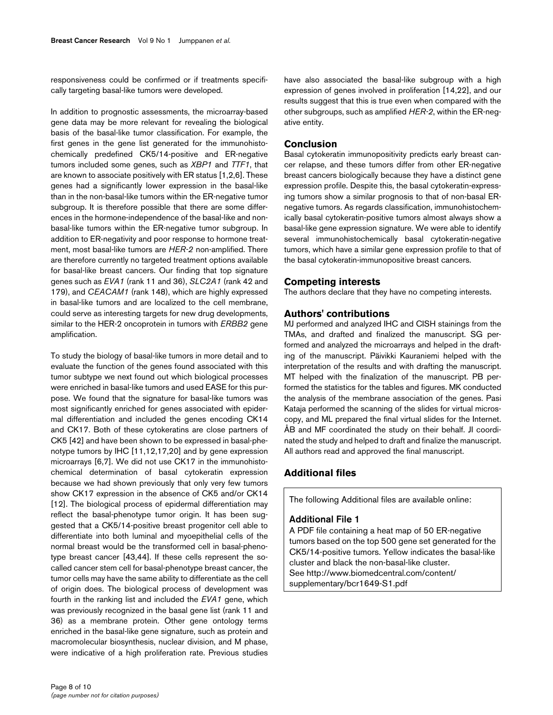responsiveness could be confirmed or if treatments specifically targeting basal-like tumors were developed.

In addition to prognostic assessments, the microarray-based gene data may be more relevant for revealing the biological basis of the basal-like tumor classification. For example, the first genes in the gene list generated for the immunohistochemically predefined CK5/14-positive and ER-negative tumors included some genes, such as *XBP1* and *TTF1*, that are known to associate positively with ER status [1,2,6]. These genes had a significantly lower expression in the basal-like than in the non-basal-like tumors within the ER-negative tumor subgroup. It is therefore possible that there are some differences in the hormone-independence of the basal-like and nonbasal-like tumors within the ER-negative tumor subgroup. In addition to ER-negativity and poor response to hormone treatment, most basal-like tumors are *HER-2* non-amplified. There are therefore currently no targeted treatment options available for basal-like breast cancers. Our finding that top signature genes such as *EVA1* (rank 11 and 36), *SLC2A1* (rank 42 and 179), and *CEACAM1* (rank 148), which are highly expressed in basal-like tumors and are localized to the cell membrane, could serve as interesting targets for new drug developments, similar to the HER-2 oncoprotein in tumors with *ERBB2* gene amplification.

To study the biology of basal-like tumors in more detail and to evaluate the function of the genes found associated with this tumor subtype we next found out which biological processes were enriched in basal-like tumors and used EASE for this purpose. We found that the signature for basal-like tumors was most significantly enriched for genes associated with epidermal differentiation and included the genes encoding CK14 and CK17. Both of these cytokeratins are close partners of CK5 [42] and have been shown to be expressed in basal-phenotype tumors by IHC [11,12,17,20] and by gene expression microarrays [6,7]. We did not use CK17 in the immunohistochemical determination of basal cytokeratin expression because we had shown previously that only very few tumors show CK17 expression in the absence of CK5 and/or CK14 [12]. The biological process of epidermal differentiation may reflect the basal-phenotype tumor origin. It has been suggested that a CK5/14-positive breast progenitor cell able to differentiate into both luminal and myoepithelial cells of the normal breast would be the transformed cell in basal-phenotype breast cancer [43,44]. If these cells represent the socalled cancer stem cell for basal-phenotype breast cancer, the tumor cells may have the same ability to differentiate as the cell of origin does. The biological process of development was fourth in the ranking list and included the *EVA1* gene, which was previously recognized in the basal gene list (rank 11 and 36) as a membrane protein. Other gene ontology terms enriched in the basal-like gene signature, such as protein and macromolecular biosynthesis, nuclear division, and M phase, were indicative of a high proliferation rate. Previous studies

have also associated the basal-like subgroup with a high expression of genes involved in proliferation [14,22], and our results suggest that this is true even when compared with the other subgroups, such as amplified *HER-2*, within the ER-negative entity.

### **Conclusion**

Basal cytokeratin immunopositivity predicts early breast cancer relapse, and these tumors differ from other ER-negative breast cancers biologically because they have a distinct gene expression profile. Despite this, the basal cytokeratin-expressing tumors show a similar prognosis to that of non-basal ERnegative tumors. As regards classification, immunohistochemically basal cytokeratin-positive tumors almost always show a basal-like gene expression signature. We were able to identify several immunohistochemically basal cytokeratin-negative tumors, which have a similar gene expression profile to that of the basal cytokeratin-immunopositive breast cancers.

### **Competing interests**

The authors declare that they have no competing interests.

### **Authors' contributions**

MJ performed and analyzed IHC and CISH stainings from the TMAs, and drafted and finalized the manuscript. SG performed and analyzed the microarrays and helped in the drafting of the manuscript. Päivikki Kauraniemi helped with the interpretation of the results and with drafting the manuscript. MT helped with the finalization of the manuscript. PB performed the statistics for the tables and figures. MK conducted the analysis of the membrane association of the genes. Pasi Kataja performed the scanning of the slides for virtual microscopy, and ML prepared the final virtual slides for the Internet. ÅB and MF coordinated the study on their behalf. JI coordinated the study and helped to draft and finalize the manuscript. All authors read and approved the final manuscript.

# **Additional files**

The following Additional files are available online:

### **Additional File 1**

A PDF file containing a heat map of 50 ER-negative tumors based on the top 500 gene set generated for the CK5/14-positive tumors. Yellow indicates the basal-like cluster and black the non-basal-like cluster. [See http://www.biomedcentral.com/content/](http://www.biomedcentral.com/content/supplementary/bcr1649-S1.pdf) supplementary/bcr1649-S1.pdf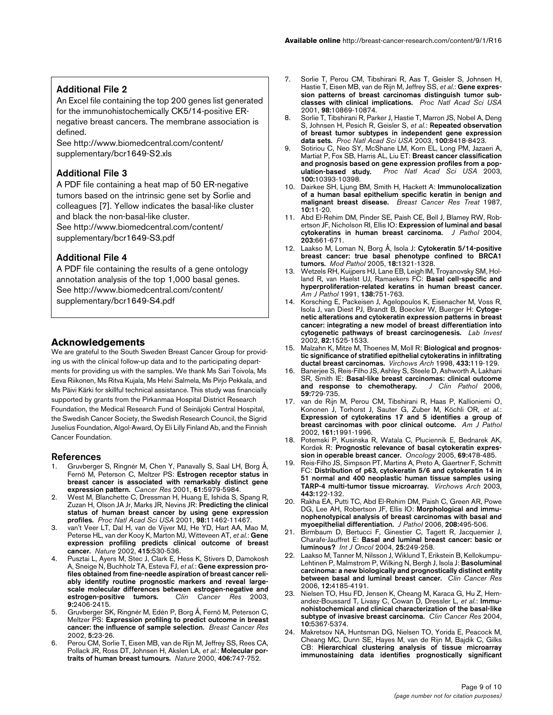### **Additional File 2**

An Excel file containing the top 200 genes list generated for the immunohistochemically CK5/14-positive ERnegative breast cancers. The membrane association is defined.

[See http://www.biomedcentral.com/content/](http://www.biomedcentral.com/content/supplementary/bcr1649-S2.xls) supplementary/bcr1649-S2.xls

### **Additional File 3**

A PDF file containing a heat map of 50 ER-negative tumors based on the intrinsic gene set by Sorlie and colleagues [7]. Yellow indicates the basal-like cluster and black the non-basal-like cluster.

[See http://www.biomedcentral.com/content/](http://www.biomedcentral.com/content/supplementary/bcr1649-S3.pdf) supplementary/bcr1649-S3.pdf

### **Additional File 4**

A PDF file containing the results of a gene ontology annotation analysis of the top 1,000 basal genes. [See http://www.biomedcentral.com/content/](http://www.biomedcentral.com/content/supplementary/bcr1649-S4.pdf) supplementary/bcr1649-S4.pdf

### **Acknowledgements**

We are grateful to the South Sweden Breast Cancer Group for providing us with the clinical follow-up data and to the participating departments for providing us with the samples. We thank Ms Sari Toivola, Ms Eeva Riikonen, Ms Ritva Kujala, Ms Helvi Salmela, Ms Pirjo Pekkala, and Ms Päivi Kärki for skillful technical assistance. This study was financially supported by grants from the Pirkanmaa Hospital District Research Foundation, the Medical Research Fund of Seinäjoki Central Hospital, the Swedish Cancer Society, the Swedish Research Council, the Sigrid Juselius Foundation, Algol-Award, Oy Eli Lilly Finland Ab, and the Finnish Cancer Foundation.

### **References**

- 1. Gruvberger S, Ringnér M, Chen Y, Panavally S, Saal LH, Borg Å, Fernö M, Peterson C, Meltzer PS: **[Estrogen receptor status in](http://www.ncbi.nlm.nih.gov/entrez/query.fcgi?cmd=Retrieve&db=PubMed&dopt=Abstract&list_uids=11507038) [breast cancer is associated with remarkably distinct gene](http://www.ncbi.nlm.nih.gov/entrez/query.fcgi?cmd=Retrieve&db=PubMed&dopt=Abstract&list_uids=11507038) [expression pattern.](http://www.ncbi.nlm.nih.gov/entrez/query.fcgi?cmd=Retrieve&db=PubMed&dopt=Abstract&list_uids=11507038)** *Cancer Res* 2001, **61:**5979-5984.
- 2. West M, Blanchette C, Dressman H, Huang E, Ishida S, Spang R, Zuzan H, Olson JA Jr, Marks JR, Nevins JR: **[Predicting the clinical](http://www.ncbi.nlm.nih.gov/entrez/query.fcgi?cmd=Retrieve&db=PubMed&dopt=Abstract&list_uids=11562467) [status of human breast cancer by using gene expression](http://www.ncbi.nlm.nih.gov/entrez/query.fcgi?cmd=Retrieve&db=PubMed&dopt=Abstract&list_uids=11562467) [profiles.](http://www.ncbi.nlm.nih.gov/entrez/query.fcgi?cmd=Retrieve&db=PubMed&dopt=Abstract&list_uids=11562467)** *Proc Natl Acad Sci USA* 2001, **98:**11462-11467.
- van't Veer LT, Dal H, van de Vijver MJ, He YD, Hart AA, Mao M, Peterse HL, van der Kooy K, Marton MJ, Witteveen AT, *et al.*: **[Gene](http://www.ncbi.nlm.nih.gov/entrez/query.fcgi?cmd=Retrieve&db=PubMed&dopt=Abstract&list_uids=11823860) [expression profiling predicts clinical outcome of breast](http://www.ncbi.nlm.nih.gov/entrez/query.fcgi?cmd=Retrieve&db=PubMed&dopt=Abstract&list_uids=11823860) [cancer.](http://www.ncbi.nlm.nih.gov/entrez/query.fcgi?cmd=Retrieve&db=PubMed&dopt=Abstract&list_uids=11823860)** *Nature* 2002, **415:**530-536.
- 4. Pusztai L, Ayers M, Stec J, Clark E, Hess K, Stivers D, Damokosh A, Sneige N, Buchholz TA, Esteva FJ, *et al.*: **[Gene expression pro](http://www.ncbi.nlm.nih.gov/entrez/query.fcgi?cmd=Retrieve&db=PubMed&dopt=Abstract&list_uids=12855612)[files obtained from fine-needle aspiration of breast cancer reli](http://www.ncbi.nlm.nih.gov/entrez/query.fcgi?cmd=Retrieve&db=PubMed&dopt=Abstract&list_uids=12855612)ably identify routine prognostic markers and reveal large**scale molecular differences between estrogen-negative and<br>estrogen-positive tumors. Clin Cancer Res 2003, **[estrogen-positive tumors.](http://www.ncbi.nlm.nih.gov/entrez/query.fcgi?cmd=Retrieve&db=PubMed&dopt=Abstract&list_uids=12855612)** *Clin Cancer Res* 2003, **9:**2406-2415.
- 5. Gruvberger SK, Ringnér M, Edén P, Borg Å, Fernö M, Peterson C, Meltzer PS: **[Expression profiling to predict outcome in breast](http://www.ncbi.nlm.nih.gov/entrez/query.fcgi?cmd=Retrieve&db=PubMed&dopt=Abstract&list_uids=12559041) [cancer: the influence of sample selection.](http://www.ncbi.nlm.nih.gov/entrez/query.fcgi?cmd=Retrieve&db=PubMed&dopt=Abstract&list_uids=12559041)** *Breast Cancer Res* 2002, **5:**23-26.
- 6. Perou CM, Sorlie T, Eisen MB, van de Rijn M, Jeffrey SS, Rees CA, Pollack JR, Ross DT, Johnsen H, Akslen LA, *et al.*: **[Molecular por](http://www.ncbi.nlm.nih.gov/entrez/query.fcgi?cmd=Retrieve&db=PubMed&dopt=Abstract&list_uids=10963602)[traits of human breast tumours.](http://www.ncbi.nlm.nih.gov/entrez/query.fcgi?cmd=Retrieve&db=PubMed&dopt=Abstract&list_uids=10963602)** *Nature* 2000, **406:**747-752.
- 7. Sorlie T, Perou CM, Tibshirani R, Aas T, Geisler S, Johnsen H, Hastie T, Eisen MB, van de Rijn M, Jeffrey SS, *et al.*: **[Gene expres](http://www.ncbi.nlm.nih.gov/entrez/query.fcgi?cmd=Retrieve&db=PubMed&dopt=Abstract&list_uids=11553815)[sion patterns of breast carcinomas distinguish tumor sub](http://www.ncbi.nlm.nih.gov/entrez/query.fcgi?cmd=Retrieve&db=PubMed&dopt=Abstract&list_uids=11553815)[classes with clinical implications.](http://www.ncbi.nlm.nih.gov/entrez/query.fcgi?cmd=Retrieve&db=PubMed&dopt=Abstract&list_uids=11553815)** *Proc Natl Acad Sci USA* 2001, **98:**10869-10874.
- 8. Sorlie T, Tibshirani R, Parker J, Hastie T, Marron JS, Nobel A, Deng S, Johnsen H, Pesich R, Geisler S, *et al.*: **[Repeated observation](http://www.ncbi.nlm.nih.gov/entrez/query.fcgi?cmd=Retrieve&db=PubMed&dopt=Abstract&list_uids=12829800) [of breast tumor subtypes in independent gene expression](http://www.ncbi.nlm.nih.gov/entrez/query.fcgi?cmd=Retrieve&db=PubMed&dopt=Abstract&list_uids=12829800) [data sets.](http://www.ncbi.nlm.nih.gov/entrez/query.fcgi?cmd=Retrieve&db=PubMed&dopt=Abstract&list_uids=12829800)** *Proc Natl Acad Sci USA* 2003, **100:**8418-8423.
- 9. Sotiriou C, Neo SY, McShane LM, Korn EL, Long PM, Jazaeri A, Martiat P, Fox SB, Harris AL, Liu ET: **[Breast cancer classification](http://www.ncbi.nlm.nih.gov/entrez/query.fcgi?cmd=Retrieve&db=PubMed&dopt=Abstract&list_uids=12917485)** and prognosis based on gene expression profiles from a pop-<br>ulation-based study. Proc Natl Acad Sci USA 2003, **[ulation-based study.](http://www.ncbi.nlm.nih.gov/entrez/query.fcgi?cmd=Retrieve&db=PubMed&dopt=Abstract&list_uids=12917485)** *Proc Natl Acad Sci USA* 2003, **100:**10393-10398.
- 10. Dairkee SH, Ljung BM, Smith H, Hackett A: **[Immunolocalization](http://www.ncbi.nlm.nih.gov/entrez/query.fcgi?cmd=Retrieve&db=PubMed&dopt=Abstract&list_uids=2446682) [of a human basal epithelium specific keratin in benign and](http://www.ncbi.nlm.nih.gov/entrez/query.fcgi?cmd=Retrieve&db=PubMed&dopt=Abstract&list_uids=2446682) [malignant breast disease.](http://www.ncbi.nlm.nih.gov/entrez/query.fcgi?cmd=Retrieve&db=PubMed&dopt=Abstract&list_uids=2446682)** *Breast Cancer Res Treat* 1987, **10:**11-20.
- 11. Abd El-Rehim DM, Pinder SE, Paish CE, Bell J, Blamey RW, Robertson JF, Nicholson RI, Ellis IO: **[Expression of luminal and basal](http://www.ncbi.nlm.nih.gov/entrez/query.fcgi?cmd=Retrieve&db=PubMed&dopt=Abstract&list_uids=15141381) [cytokeratins in human breast carcinoma.](http://www.ncbi.nlm.nih.gov/entrez/query.fcgi?cmd=Retrieve&db=PubMed&dopt=Abstract&list_uids=15141381)** *J Pathol* 2004, **203:**661-671.
- 12. Laakso M, Loman N, Borg Å, Isola J: **[Cytokeratin 5/14-positive](http://www.ncbi.nlm.nih.gov/entrez/query.fcgi?cmd=Retrieve&db=PubMed&dopt=Abstract&list_uids=15990899) [breast cancer: true basal phenotype confined to BRCA1](http://www.ncbi.nlm.nih.gov/entrez/query.fcgi?cmd=Retrieve&db=PubMed&dopt=Abstract&list_uids=15990899) [tumors.](http://www.ncbi.nlm.nih.gov/entrez/query.fcgi?cmd=Retrieve&db=PubMed&dopt=Abstract&list_uids=15990899)** *Mod Pathol* 2005, **18:**1321-1328.
- 13. Wetzels RH, Kuijpers HJ, Lane EB, Leigh IM, Troyanovsky SM, Holland R, van Haelst UJ, Ramaekers FC: **[Basal cell-specific and](http://www.ncbi.nlm.nih.gov/entrez/query.fcgi?cmd=Retrieve&db=PubMed&dopt=Abstract&list_uids=1705754) [hyperproliferation-related keratins in human breast cancer.](http://www.ncbi.nlm.nih.gov/entrez/query.fcgi?cmd=Retrieve&db=PubMed&dopt=Abstract&list_uids=1705754)** *Am J Pathol* 1991, **138:**751-763.
- 14. Korsching E, Packeisen J, Agelopoulos K, Eisenacher M, Voss R, Isola J, van Diest PJ, Brandt B, Boecker W, Buerger H: **[Cytoge](http://www.ncbi.nlm.nih.gov/entrez/query.fcgi?cmd=Retrieve&db=PubMed&dopt=Abstract&list_uids=12429812)[netic alterations and cytokeratin expression patterns in breast](http://www.ncbi.nlm.nih.gov/entrez/query.fcgi?cmd=Retrieve&db=PubMed&dopt=Abstract&list_uids=12429812) cancer: integrating a new model of breast differentiation into [cytogenetic pathways of breast carcinogenesis.](http://www.ncbi.nlm.nih.gov/entrez/query.fcgi?cmd=Retrieve&db=PubMed&dopt=Abstract&list_uids=12429812)** *Lab Invest* 2002, **82:**1525-1533.
- 15. Malzahn K, Mitze M, Thoenes M, Moll R: **[Biological and prognos](http://www.ncbi.nlm.nih.gov/entrez/query.fcgi?cmd=Retrieve&db=PubMed&dopt=Abstract&list_uids=9737789)[tic significance of stratified epithelial cytokeratins in infiltrating](http://www.ncbi.nlm.nih.gov/entrez/query.fcgi?cmd=Retrieve&db=PubMed&dopt=Abstract&list_uids=9737789) [ductal breast carcinomas.](http://www.ncbi.nlm.nih.gov/entrez/query.fcgi?cmd=Retrieve&db=PubMed&dopt=Abstract&list_uids=9737789)** *Virchows Arch* 1998, **433:**119-129.
- 16. Banerjee S, Reis-Filho JS, Ashley S, Steele D, Ashworth A, Lakhani SR, Smith IE: **[Basal-like breast carcinomas: clinical outcome](http://www.ncbi.nlm.nih.gov/entrez/query.fcgi?cmd=Retrieve&db=PubMed&dopt=Abstract&list_uids=16556664) and response to chemotherapy.** J Clin Pathol 2006, [and response to chemotherapy.](http://www.ncbi.nlm.nih.gov/entrez/query.fcgi?cmd=Retrieve&db=PubMed&dopt=Abstract&list_uids=16556664) **59:**729-735.
- 17. van de Rijn M, Perou CM, Tibshirani R, Haas P, Kallioniemi O, Kononen J, Torhorst J, Sauter G, Zuber M, Köchli OR, *et al.*: **[Expression of cytokeratins 17 and 5 identifies a group of](http://www.ncbi.nlm.nih.gov/entrez/query.fcgi?cmd=Retrieve&db=PubMed&dopt=Abstract&list_uids=12466114) [breast carcinomas with poor clinical outcome.](http://www.ncbi.nlm.nih.gov/entrez/query.fcgi?cmd=Retrieve&db=PubMed&dopt=Abstract&list_uids=12466114)** *Am J Pathol* 2002, **161:**1991-1996.
- 18. Potemski P, Kusinska R, Watala C, Pluciennik E, Bednarek AK, Kordek R: **[Prognostic relevance of basal cytokeratin expres](http://www.ncbi.nlm.nih.gov/entrez/query.fcgi?cmd=Retrieve&db=PubMed&dopt=Abstract&list_uids=16410686)[sion in operable breast cancer.](http://www.ncbi.nlm.nih.gov/entrez/query.fcgi?cmd=Retrieve&db=PubMed&dopt=Abstract&list_uids=16410686)** *Oncology* 2005, **69:**478-485.
- 19. Reis-Filho JS, Simpson PT, Martins A, Preto A, Gaertner F, Schmitt FC: **[Distribution of p63, cytokeratin 5/6 and cytokeratin 14 in](http://www.ncbi.nlm.nih.gov/entrez/query.fcgi?cmd=Retrieve&db=PubMed&dopt=Abstract&list_uids=12884041) [51 normal and 400 neoplastic human tissue samples using](http://www.ncbi.nlm.nih.gov/entrez/query.fcgi?cmd=Retrieve&db=PubMed&dopt=Abstract&list_uids=12884041) [TARP-4 multi-tumor tissue microarray.](http://www.ncbi.nlm.nih.gov/entrez/query.fcgi?cmd=Retrieve&db=PubMed&dopt=Abstract&list_uids=12884041)** *Virchows Arch* 2003, **443:**122-132.
- 20. Rakha EA, Putti TC, Abd El-Rehim DM, Paish C, Green AR, Powe DG, Lee AH, Robertson JF, Ellis IO: **[Morphological and immu](http://www.ncbi.nlm.nih.gov/entrez/query.fcgi?cmd=Retrieve&db=PubMed&dopt=Abstract&list_uids=16429394)[nophenotypical analysis of breast carcinomas with basal and](http://www.ncbi.nlm.nih.gov/entrez/query.fcgi?cmd=Retrieve&db=PubMed&dopt=Abstract&list_uids=16429394) [myoepithelial differentiation.](http://www.ncbi.nlm.nih.gov/entrez/query.fcgi?cmd=Retrieve&db=PubMed&dopt=Abstract&list_uids=16429394)** *J Pathol* 2006, **208:**495-506.
- 21. Birmbaum D, Bertucci F, Ginestier C, Tagett R, Jacquemier J, Charafe-Jauffret E: **[Basal and luminal breast cancer: basic or](http://www.ncbi.nlm.nih.gov/entrez/query.fcgi?cmd=Retrieve&db=PubMed&dopt=Abstract&list_uids=15254720) [luminous?](http://www.ncbi.nlm.nih.gov/entrez/query.fcgi?cmd=Retrieve&db=PubMed&dopt=Abstract&list_uids=15254720)** *Int J Oncol* 2004, **25:**249-258.
- 22. Laakso M, Tanner M, Nilsson J, Wiklund T, Erikstein B, Kellokumpu-Lehtinen P, Malmstrom P, Wilking N, Bergh J, Isola J: **[Basoluminal](http://www.ncbi.nlm.nih.gov/entrez/query.fcgi?cmd=Retrieve&db=PubMed&dopt=Abstract&list_uids=16857790) [carcinoma: a new biologically and prognostically distinct entity](http://www.ncbi.nlm.nih.gov/entrez/query.fcgi?cmd=Retrieve&db=PubMed&dopt=Abstract&list_uids=16857790) [between basal and luminal breast cancer.](http://www.ncbi.nlm.nih.gov/entrez/query.fcgi?cmd=Retrieve&db=PubMed&dopt=Abstract&list_uids=16857790)** *Clin Cancer Res* 2006, **12:**4185-4191.
- 23. Nielsen TO, Hsu FD, Jensen K, Cheang M, Karaca G, Hu Z, Hernandez-Boussard T, Livasy C, Cowan D, Dressler L, *et al.*: **[Immu](http://www.ncbi.nlm.nih.gov/entrez/query.fcgi?cmd=Retrieve&db=PubMed&dopt=Abstract&list_uids=15328174)[nohistochemical and clinical characterization of the basal-like](http://www.ncbi.nlm.nih.gov/entrez/query.fcgi?cmd=Retrieve&db=PubMed&dopt=Abstract&list_uids=15328174) [subtype of invasive breast carcinoma.](http://www.ncbi.nlm.nih.gov/entrez/query.fcgi?cmd=Retrieve&db=PubMed&dopt=Abstract&list_uids=15328174)** *Clin Cancer Res* 2004, **10:**5367-5374.
- 24. Makretsov NA, Huntsman DG, Nielsen TO, Yorida E, Peacock M, Cheang MC, Dunn SE, Hayes M, van de Rijn M, Bajdik C, Gilks CB: **[Hierarchical clustering analysis of tissue microarray](http://www.ncbi.nlm.nih.gov/entrez/query.fcgi?cmd=Retrieve&db=PubMed&dopt=Abstract&list_uids=15448001) [immunostaining data identifies prognostically significant](http://www.ncbi.nlm.nih.gov/entrez/query.fcgi?cmd=Retrieve&db=PubMed&dopt=Abstract&list_uids=15448001)**